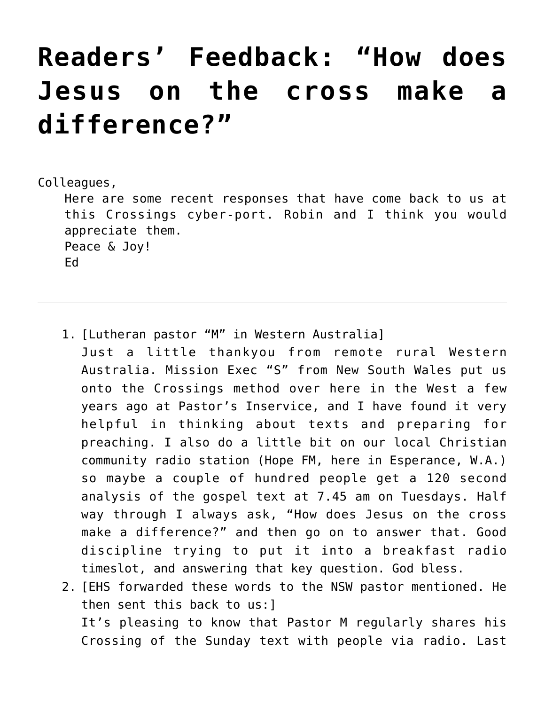## **[Readers' Feedback: "How does](https://crossings.org/readers-feedback-how-does-jesus-on-the-cross-make-a-difference/) [Jesus on the cross make a](https://crossings.org/readers-feedback-how-does-jesus-on-the-cross-make-a-difference/) [difference?"](https://crossings.org/readers-feedback-how-does-jesus-on-the-cross-make-a-difference/)**

Colleagues,

Here are some recent responses that have come back to us at this Crossings cyber-port. Robin and I think you would appreciate them. Peace & Joy! Ed

- 1. [Lutheran pastor "M" in Western Australia] Just a little thankyou from remote rural Western Australia. Mission Exec "S" from New South Wales put us onto the Crossings method over here in the West a few years ago at Pastor's Inservice, and I have found it very helpful in thinking about texts and preparing for preaching. I also do a little bit on our local Christian community radio station (Hope FM, here in Esperance, W.A.) so maybe a couple of hundred people get a 120 second analysis of the gospel text at 7.45 am on Tuesdays. Half way through I always ask, "How does Jesus on the cross make a difference?" and then go on to answer that. Good discipline trying to put it into a breakfast radio timeslot, and answering that key question. God bless.
- 2. [EHS forwarded these words to the NSW pastor mentioned. He then sent this back to us:] It's pleasing to know that Pastor M regularly shares his Crossing of the Sunday text with people via radio. Last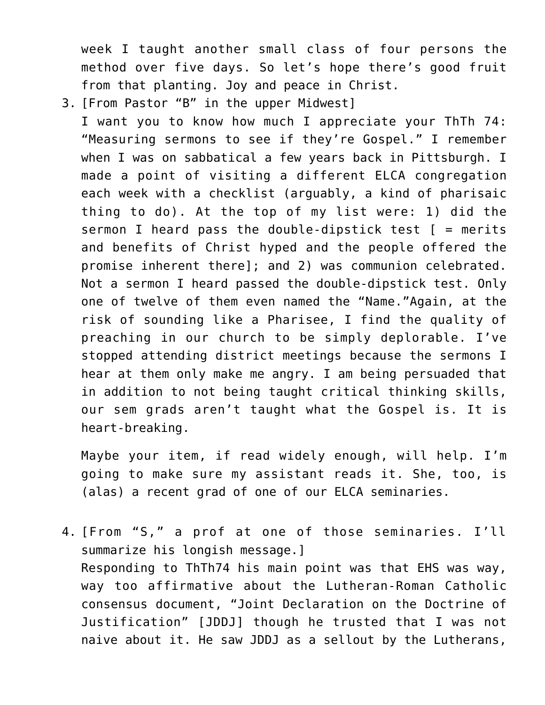week I taught another small class of four persons the method over five days. So let's hope there's good fruit from that planting. Joy and peace in Christ.

3. [From Pastor "B" in the upper Midwest]

I want you to know how much I appreciate your ThTh 74: "Measuring sermons to see if they're Gospel." I remember when I was on sabbatical a few years back in Pittsburgh. I made a point of visiting a different ELCA congregation each week with a checklist (arguably, a kind of pharisaic thing to do). At the top of my list were: 1) did the sermon I heard pass the double-dipstick test  $[$  = merits and benefits of Christ hyped and the people offered the promise inherent there]; and 2) was communion celebrated. Not a sermon I heard passed the double-dipstick test. Only one of twelve of them even named the "Name."Again, at the risk of sounding like a Pharisee, I find the quality of preaching in our church to be simply deplorable. I've stopped attending district meetings because the sermons I hear at them only make me angry. I am being persuaded that in addition to not being taught critical thinking skills, our sem grads aren't taught what the Gospel is. It is heart-breaking.

Maybe your item, if read widely enough, will help. I'm going to make sure my assistant reads it. She, too, is (alas) a recent grad of one of our ELCA seminaries.

4. [From "S," a prof at one of those seminaries. I'll summarize his longish message.] Responding to ThTh74 his main point was that EHS was way, way too affirmative about the Lutheran-Roman Catholic consensus document, "Joint Declaration on the Doctrine of Justification" [JDDJ] though he trusted that I was not naive about it. He saw JDDJ as a sellout by the Lutherans,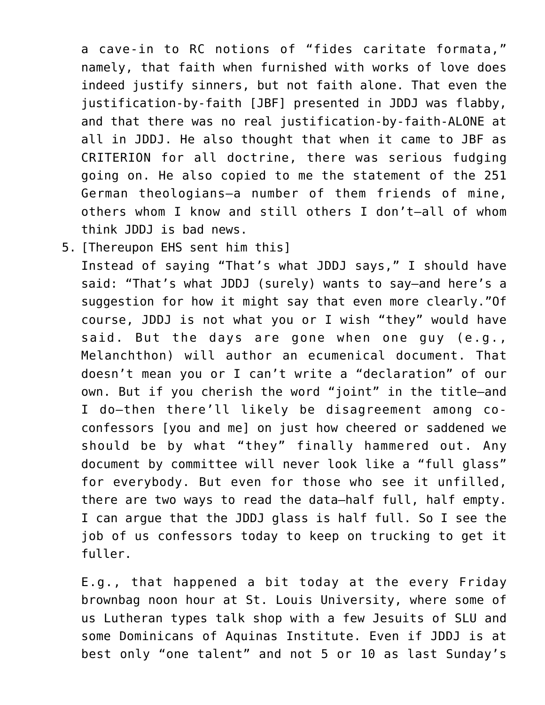a cave-in to RC notions of "fides caritate formata," namely, that faith when furnished with works of love does indeed justify sinners, but not faith alone. That even the justification-by-faith [JBF] presented in JDDJ was flabby, and that there was no real justification-by-faith-ALONE at all in JDDJ. He also thought that when it came to JBF as CRITERION for all doctrine, there was serious fudging going on. He also copied to me the statement of the 251 German theologians–a number of them friends of mine, others whom I know and still others I don't–all of whom think JDDJ is bad news.

5. [Thereupon EHS sent him this]

Instead of saying "That's what JDDJ says," I should have said: "That's what JDDJ (surely) wants to say–and here's a suggestion for how it might say that even more clearly."Of course, JDDJ is not what you or I wish "they" would have said. But the days are gone when one guy (e.g., Melanchthon) will author an ecumenical document. That doesn't mean you or I can't write a "declaration" of our own. But if you cherish the word "joint" in the title–and I do–then there'll likely be disagreement among coconfessors [you and me] on just how cheered or saddened we should be by what "they" finally hammered out. Any document by committee will never look like a "full glass" for everybody. But even for those who see it unfilled, there are two ways to read the data–half full, half empty. I can argue that the JDDJ glass is half full. So I see the job of us confessors today to keep on trucking to get it fuller.

E.g., that happened a bit today at the every Friday brownbag noon hour at St. Louis University, where some of us Lutheran types talk shop with a few Jesuits of SLU and some Dominicans of Aquinas Institute. Even if JDDJ is at best only "one talent" and not 5 or 10 as last Sunday's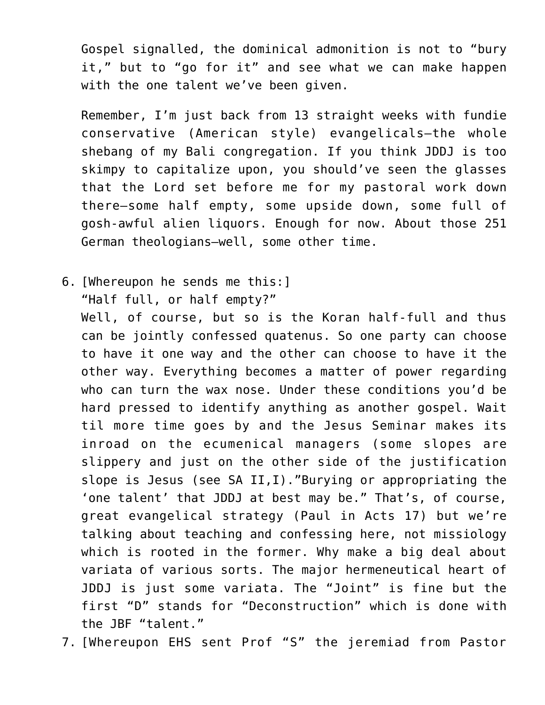Gospel signalled, the dominical admonition is not to "bury it," but to "go for it" and see what we can make happen with the one talent we've been given.

Remember, I'm just back from 13 straight weeks with fundie conservative (American style) evangelicals–the whole shebang of my Bali congregation. If you think JDDJ is too skimpy to capitalize upon, you should've seen the glasses that the Lord set before me for my pastoral work down there–some half empty, some upside down, some full of gosh-awful alien liquors. Enough for now. About those 251 German theologians–well, some other time.

6. [Whereupon he sends me this:] "Half full, or half empty?"

Well, of course, but so is the Koran half-full and thus can be jointly confessed quatenus. So one party can choose to have it one way and the other can choose to have it the other way. Everything becomes a matter of power regarding who can turn the wax nose. Under these conditions you'd be hard pressed to identify anything as another gospel. Wait til more time goes by and the Jesus Seminar makes its inroad on the ecumenical managers (some slopes are slippery and just on the other side of the justification slope is Jesus (see SA II,I)."Burying or appropriating the 'one talent' that JDDJ at best may be." That's, of course, great evangelical strategy (Paul in Acts 17) but we're talking about teaching and confessing here, not missiology which is rooted in the former. Why make a big deal about variata of various sorts. The major hermeneutical heart of JDDJ is just some variata. The "Joint" is fine but the first "D" stands for "Deconstruction" which is done with the JBF "talent."

7. [Whereupon EHS sent Prof "S" the jeremiad from Pastor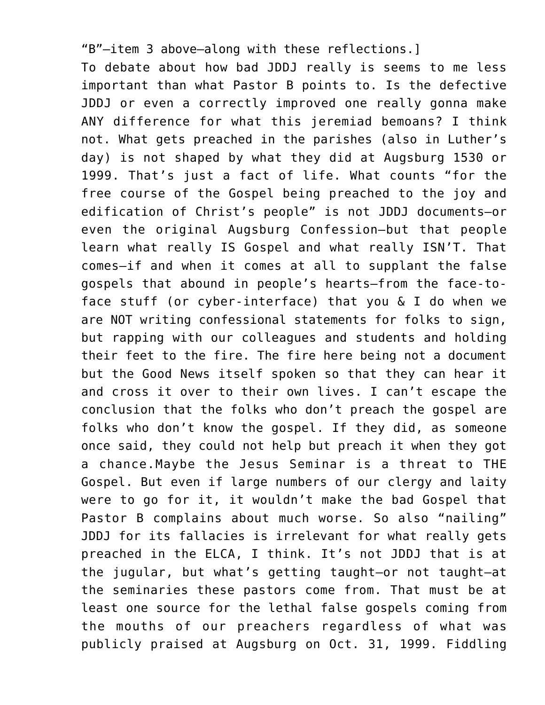"B"–item 3 above–along with these reflections.] To debate about how bad JDDJ really is seems to me less important than what Pastor B points to. Is the defective JDDJ or even a correctly improved one really gonna make ANY difference for what this jeremiad bemoans? I think not. What gets preached in the parishes (also in Luther's day) is not shaped by what they did at Augsburg 1530 or 1999. That's just a fact of life. What counts "for the free course of the Gospel being preached to the joy and edification of Christ's people" is not JDDJ documents–or even the original Augsburg Confession–but that people learn what really IS Gospel and what really ISN'T. That comes–if and when it comes at all to supplant the false gospels that abound in people's hearts–from the face-toface stuff (or cyber-interface) that you & I do when we are NOT writing confessional statements for folks to sign, but rapping with our colleagues and students and holding their feet to the fire. The fire here being not a document but the Good News itself spoken so that they can hear it and cross it over to their own lives. I can't escape the conclusion that the folks who don't preach the gospel are folks who don't know the gospel. If they did, as someone once said, they could not help but preach it when they got a chance.Maybe the Jesus Seminar is a threat to THE Gospel. But even if large numbers of our clergy and laity were to go for it, it wouldn't make the bad Gospel that Pastor B complains about much worse. So also "nailing" JDDJ for its fallacies is irrelevant for what really gets preached in the ELCA, I think. It's not JDDJ that is at the jugular, but what's getting taught–or not taught–at the seminaries these pastors come from. That must be at least one source for the lethal false gospels coming from the mouths of our preachers regardless of what was publicly praised at Augsburg on Oct. 31, 1999. Fiddling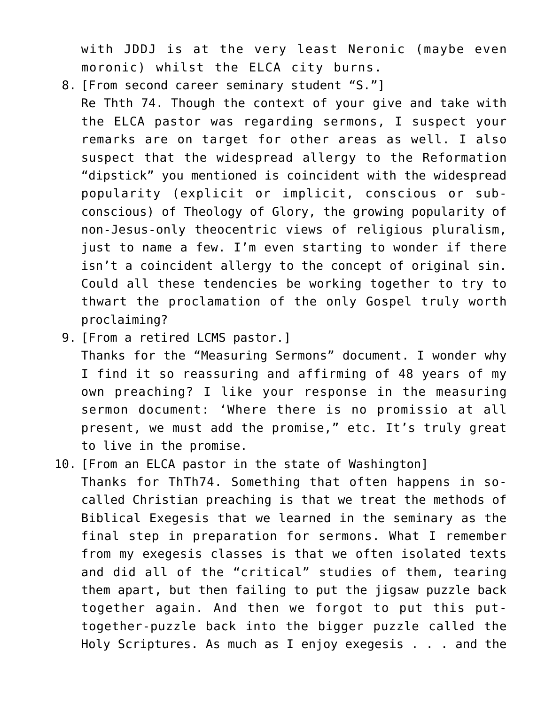with JDDJ is at the very least Neronic (maybe even moronic) whilst the ELCA city burns.

8. [From second career seminary student "S."]

Re Thth 74. Though the context of your give and take with the ELCA pastor was regarding sermons, I suspect your remarks are on target for other areas as well. I also suspect that the widespread allergy to the Reformation "dipstick" you mentioned is coincident with the widespread popularity (explicit or implicit, conscious or subconscious) of Theology of Glory, the growing popularity of non-Jesus-only theocentric views of religious pluralism, just to name a few. I'm even starting to wonder if there isn't a coincident allergy to the concept of original sin. Could all these tendencies be working together to try to thwart the proclamation of the only Gospel truly worth proclaiming?

9. [From a retired LCMS pastor.]

Thanks for the "Measuring Sermons" document. I wonder why I find it so reassuring and affirming of 48 years of my own preaching? I like your response in the measuring sermon document: 'Where there is no promissio at all present, we must add the promise," etc. It's truly great to live in the promise.

10. [From an ELCA pastor in the state of Washington] Thanks for ThTh74. Something that often happens in socalled Christian preaching is that we treat the methods of Biblical Exegesis that we learned in the seminary as the final step in preparation for sermons. What I remember from my exegesis classes is that we often isolated texts and did all of the "critical" studies of them, tearing them apart, but then failing to put the jigsaw puzzle back together again. And then we forgot to put this puttogether-puzzle back into the bigger puzzle called the Holy Scriptures. As much as I enjoy exegesis . . . and the